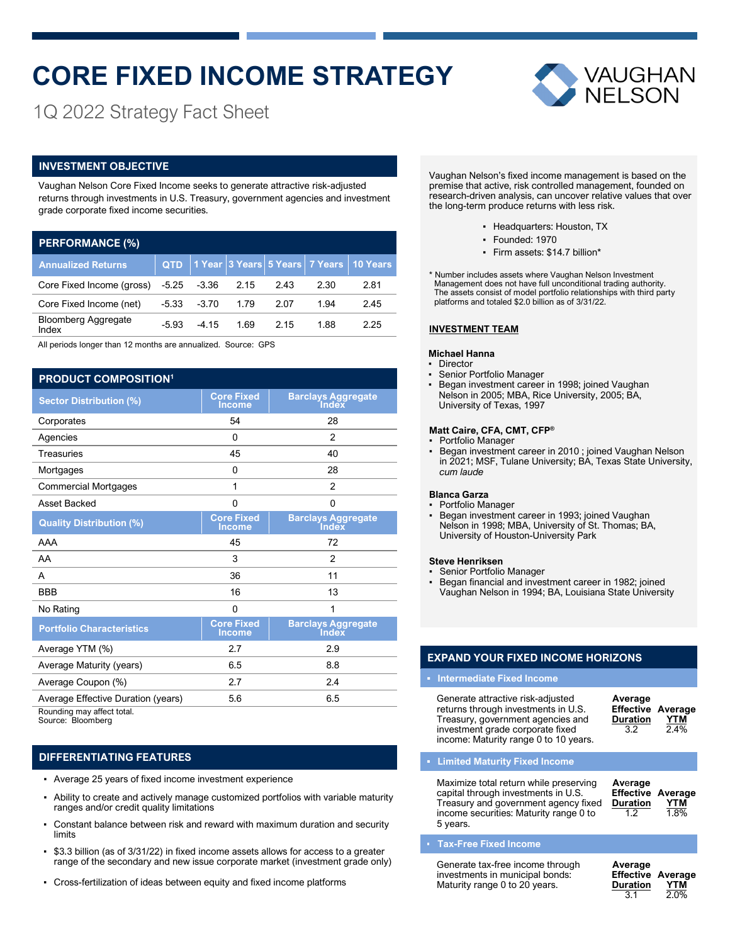# **CORE FIXED INCOME STRATEGY**



1Q 2022 Strategy Fact Sheet

### **INVESTMENT OBJECTIVE**

Vaughan Nelson Core Fixed Income seeks to generate attractive risk-adjusted returns through investments in U.S. Treasury, government agencies and investment grade corporate fixed income securities.

| <b>PERFORMANCE (%)</b>              |            |         |      |      |      |                                               |  |  |  |  |  |
|-------------------------------------|------------|---------|------|------|------|-----------------------------------------------|--|--|--|--|--|
| <b>Annualized Returns</b>           | <b>QTD</b> |         |      |      |      | 1 Year  3 Years  5 Years   7 Years   10 Years |  |  |  |  |  |
| Core Fixed Income (gross)           | $-5.25$    | $-3.36$ | 2.15 | 2.43 | 2.30 | 2.81                                          |  |  |  |  |  |
| Core Fixed Income (net)             | $-5.33$    | $-3.70$ | 1.79 | 2.07 | 1.94 | 2.45                                          |  |  |  |  |  |
| <b>Bloomberg Aggregate</b><br>Index | $-5.93$    | $-4.15$ | 1.69 | 2.15 | 1.88 | 2.25                                          |  |  |  |  |  |

All periods longer than 12 months are annualized. Source: GPS

### **PRODUCT COMPOSITION<sup>1</sup>**

| <b>Sector Distribution (%)</b>     | <b>Core Fixed</b><br><b>Income</b> | <b>Barclays Aggregate</b><br><b>Index</b> |
|------------------------------------|------------------------------------|-------------------------------------------|
| Corporates                         | 54                                 | 28                                        |
| Agencies                           | 0                                  | $\overline{2}$                            |
| <b>Treasuries</b>                  | 45                                 | 40                                        |
| Mortgages                          | 0                                  | 28                                        |
| <b>Commercial Mortgages</b>        | 1                                  | $\overline{2}$                            |
| Asset Backed                       | 0                                  | 0                                         |
| <b>Quality Distribution (%)</b>    | <b>Core Fixed</b><br><b>Income</b> | <b>Barclays Aggregate</b><br>Index        |
| AAA                                | 45                                 | 72                                        |
| AA                                 | 3                                  | 2                                         |
| A                                  | 36                                 | 11                                        |
| <b>BBB</b>                         | 16                                 | 13                                        |
| No Rating                          | 0                                  | 1                                         |
| <b>Portfolio Characteristics</b>   | <b>Core Fixed</b><br><b>Income</b> | <b>Barclays Aggregate</b><br>Index        |
| Average YTM (%)                    | 2.7                                | 2.9                                       |
| Average Maturity (years)           | 6.5                                | 8.8                                       |
| Average Coupon (%)                 | 2.7                                | 2.4                                       |
| Average Effective Duration (years) | 5.6                                | 6.5                                       |
| Rounding may affect total          |                                    |                                           |

Rounding may affect total. Source: Bloomberg

### **DIFFERENTIATING FEATURES**

- Average 25 years of fixed income investment experience
- Ability to create and actively manage customized portfolios with variable maturity ranges and/or credit quality limitations
- Constant balance between risk and reward with maximum duration and security limits
- \$3.3 billion (as of 3/31/22) in fixed income assets allows for access to a greater range of the secondary and new issue corporate market (investment grade only)
- Cross-fertilization of ideas between equity and fixed income platforms

Vaughan Nelson's fixed income management is based on the premise that active, risk controlled management, founded on research-driven analysis, can uncover relative values that over the long-term produce returns with less risk.

- Headquarters: Houston, TX
- Founded: 1970
- Firm assets: \$14.7 billion\*

\* Number includes assets where Vaughan Nelson Investment Management does not have full unconditional trading authority. The assets consist of model portfolio relationships with third party platforms and totaled \$2.0 billion as of 3/31/22.

### **INVESTMENT TEAM**

### **Michael Hanna**

- Director
- Senior Portfolio Manager
- **Began investment career in 1998; joined Vaughan** Nelson in 2005; MBA, Rice University, 2005; BA, University of Texas, 1997

### **Matt Caire, CFA, CMT, CFP®**

- Portfolio Manager
- Began investment career in 2010 ; joined Vaughan Nelson in 2021; MSF, Tulane University; BA, Texas State University, *cum laude*

### **Blanca Garza**

▪ Portfolio Manager ▪ Began investment career in 1993; joined Vaughan Nelson in 1998; MBA, University of St. Thomas; BA, University of Houston-University Park

### **Steve Henriksen**

- Senior Portfolio Manager
- Began financial and investment career in 1982; joined Vaughan Nelson in 1994; BA, Louisiana State University

### **EXPAND YOUR FIXED INCOME HORIZONS**

### **▪ Intermediate Fixed Income**

| Generate attractive risk-adjusted<br>returns through investments in U.S.<br>Treasury, government agencies and<br>investment grade corporate fixed<br>income: Maturity range 0 to 10 years. | Average<br><b>Effective Average</b><br><b>Duration</b><br>32 | <b>YTM</b><br>2.4% |
|--------------------------------------------------------------------------------------------------------------------------------------------------------------------------------------------|--------------------------------------------------------------|--------------------|
| - Limited Maturity Fixed Income                                                                                                                                                            |                                                              |                    |
|                                                                                                                                                                                            |                                                              |                    |

| Maximize total return while preserving | Average                  |            |
|----------------------------------------|--------------------------|------------|
| capital through investments in U.S.    | <b>Effective Average</b> |            |
| Treasury and government agency fixed   | <b>Duration</b>          | <b>YTM</b> |
| income securities: Maturity range 0 to | 1.2                      | 1.8%       |
| 5 years.                               |                          |            |

### **Tax-Free Fixed Income**

| Generate tax-free income through<br>investments in municipal bonds:<br>Maturity range 0 to 20 years. | Average<br><b>Effective Average</b><br><b>Duration</b> | YTM  |
|------------------------------------------------------------------------------------------------------|--------------------------------------------------------|------|
|                                                                                                      | 3.1                                                    | 2.0% |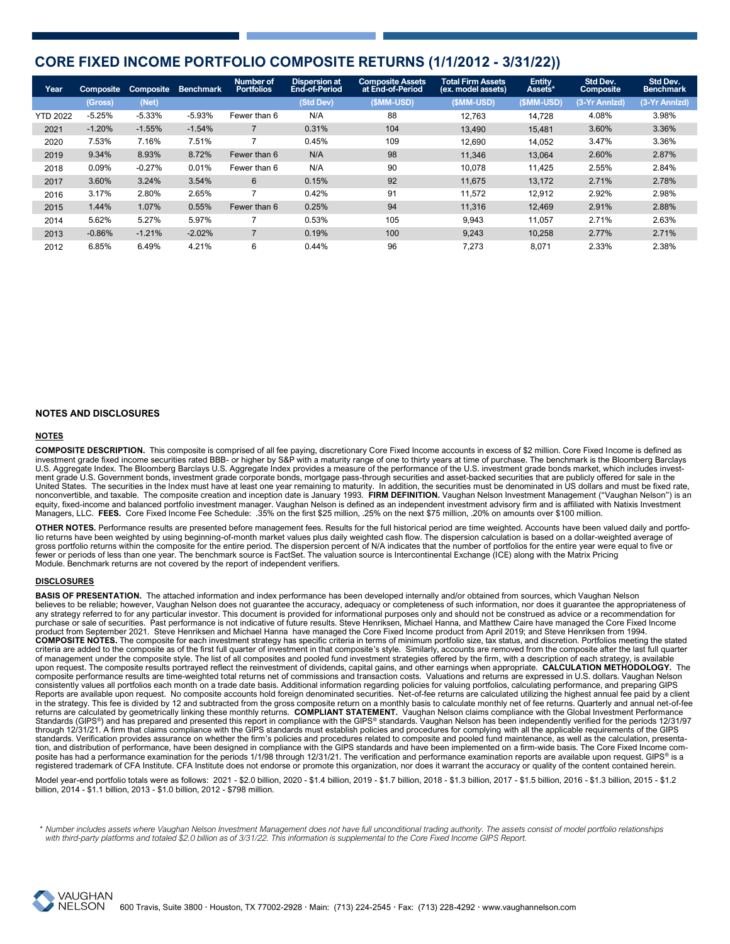### **CORE FIXED INCOME PORTFOLIO COMPOSITE RETURNS (1/1/2012 - 3/31/22))**

| Year            | Composite | Composite | <b>Benchmark</b> | Number of<br><b>Portfolios</b> | <b>Dispersion at</b><br>End-of-Period | <b>Composite Assets</b><br>at End-of-Period | <b>Total Firm Assets</b><br>(ex. model assets) | <b>Entity</b><br>Assets* | Std Dev.<br>Composite | Std Dev.<br><b>Benchmark</b> |
|-----------------|-----------|-----------|------------------|--------------------------------|---------------------------------------|---------------------------------------------|------------------------------------------------|--------------------------|-----------------------|------------------------------|
|                 | (Gross)   | (Net)     |                  |                                | (Std Dev)                             | (\$MM-USD)                                  | (\$MM-USD)                                     | (\$MM-USD)               | (3-Yr Annizd)         | (3-Yr Annizd)                |
| <b>YTD 2022</b> | $-5.25%$  | $-5.33%$  | $-5.93%$         | Fewer than 6                   | N/A                                   | 88                                          | 12.763                                         | 14,728                   | 4.08%                 | 3.98%                        |
| 2021            | $-1.20%$  | $-1.55%$  | $-1.54%$         |                                | 0.31%                                 | 104                                         | 13,490                                         | 15,481                   | 3.60%                 | 3.36%                        |
| 2020            | 7.53%     | 7.16%     | 7.51%            |                                | 0.45%                                 | 109                                         | 12.690                                         | 14,052                   | 3.47%                 | 3.36%                        |
| 2019            | 9.34%     | 8.93%     | 8.72%            | Fewer than 6                   | N/A                                   | 98                                          | 11.346                                         | 13,064                   | 2.60%                 | 2.87%                        |
| 2018            | 0.09%     | $-0.27%$  | 0.01%            | Fewer than 6                   | N/A                                   | 90                                          | 10.078                                         | 11,425                   | 2.55%                 | 2.84%                        |
| 2017            | 3.60%     | 3.24%     | 3.54%            | 6                              | 0.15%                                 | 92                                          | 11,675                                         | 13,172                   | 2.71%                 | 2.78%                        |
| 2016            | 3.17%     | 2.80%     | 2.65%            |                                | 0.42%                                 | 91                                          | 11.572                                         | 12.912                   | 2.92%                 | 2.98%                        |
| 2015            | 1.44%     | 1.07%     | 0.55%            | Fewer than 6                   | 0.25%                                 | 94                                          | 11.316                                         | 12.469                   | 2.91%                 | 2.88%                        |
| 2014            | 5.62%     | 5.27%     | 5.97%            |                                | 0.53%                                 | 105                                         | 9,943                                          | 11.057                   | 2.71%                 | 2.63%                        |
| 2013            | $-0.86%$  | $-1.21%$  | $-2.02%$         |                                | 0.19%                                 | 100                                         | 9,243                                          | 10,258                   | 2.77%                 | 2.71%                        |
| 2012            | 6.85%     | 6.49%     | 4.21%            | 6                              | 0.44%                                 | 96                                          | 7,273                                          | 8,071                    | 2.33%                 | 2.38%                        |

### **NOTES AND DISCLOSURES**

### **NOTES**

**COMPOSITE DESCRIPTION.** This composite is comprised of all fee paying, discretionary Core Fixed Income accounts in excess of \$2 million. Core Fixed Income is defined as investment grade fixed income securities rated BBB- or higher by S&P with a maturity range of one to thirty years at time of purchase. The benchmark is the Bloomberg Barclays U.S. Aggregate Index. The Bloomberg Barclays U.S. Aggregate Index provides a measure of the performance of the U.S. investment grade bonds market, which includes investment grade U.S. Government bonds, investment grade corporate bonds, mortgage pass-through securities and asset-backed securities that are publicly offered for sale in the United States. The securities in the Index must have at least one year remaining to maturity. In addition, the securities must be denominated in US dollars and must be fixed rate,<br>nonconvertible, and taxable. The composite

**OTHER NOTES.** Performance results are presented before management fees. Results for the full historical period are time weighted. Accounts have been valued daily and portfolio returns have been weighted by using beginning-of-month market values plus daily weighted cash flow. The dispersion calculation is based on a dollar-weighted average of<br>gross portfolio returns within the composite for t fewer or periods of less than one year. The benchmark source is FactSet. The valuation source is Intercontinental Exchange (ICE) along with the Matrix Pricing Module. Benchmark returns are not covered by the report of independent verifiers.

### **DISCLOSURES**

BASIS OF PRESENTATION. The attached information and index performance has been developed internally and/or obtained from sources, which Vaughan Nelson believes to be reliable; however, Vaughan Nelson does not guarantee the accuracy, adequacy or completeness of such information, nor does it guarantee the appropriateness of any strategy referred to for any particular investor. This document is provided for informational purposes only and should not be construed as advice or a recommendation for purchase or sale of securities. Past performance is not indicative of future results. Steve Henriksen, Michael Hanna, and Matthew Caire have managed the Core Fixed Income product from September 2021. Steve Henriksen and Michael Hanna have managed the Core Fixed Income product from April 2019; and Steve Henriksen from 1994.<br>COMPOSITE NOTES. The composite for each investment strategy has spec upon request. The composite results portrayed reflect the reinvestment of dividends, capital gains, and other earnings when appropriate. **CALCULATION METHODOLOGY.** The composite performance results are time-weighted total returns net of commissions and transaction costs. Valuations and returns are expressed in U.S. dollars. Vaughan Nelson consistently values all portfolios each month on a trade date basis. Additional information regarding policies for valuing portfolios, calculating performance, and preparing GIPS Reports are available upon request. No composite accounts hold foreign denominated securities. Net-of-fee returns are calculated utilizing the highest annual fee paid by a client in the strategy. This fee is divided by 12 and subtracted from the gross composite return on a monthly basis to calculate monthly net of fee returns. Quarterly and annual net-of-fee<br>returns are calculated by geometrically through 12/31/21. A firm that claims compliance with the GIPS standards must establish policies and procedures for complying with all the applicable requirements of the GIPS standards. Verification provides assurance on whether the firm's policies and procedures related to composite and pooled fund maintenance, as well as the calculation, presentation, and distribution of performance, have been designed in compliance with the GIPS standards and have been implemented on a firm-wide basis. The Core Fixed Income composite has had a performance examination for the periods 1/1/98 through 12/31/21. The verification and performance examination reports are available upon request. GIPS® is a registered trademark of CFA Institute. CFA Institute does not endorse or promote this organization, nor does it warrant the accuracy or quality of the content contained herein.

Model year-end portfolio totals were as follows: 2021 - \$2.0 billion, 2020 - \$1.4 billion, 2019 - \$1.7 billion, 2018 - \$1.3 billion, 2016 - \$1.3 billion, 2016 - \$1.3 billion, 2015 - \$1.2 billion, 2014 - \$1.1 billion, 2013 - \$1.0 billion, 2012 - \$798 million.

 *\* Number includes assets where Vaughan Nelson Investment Management does not have full unconditional trading authority. The assets consist of model portfolio relationships with third-party platforms and totaled \$2.0 billion as of 3/31/22. This information is supplemental to the Core Fixed Income GIPS Report.*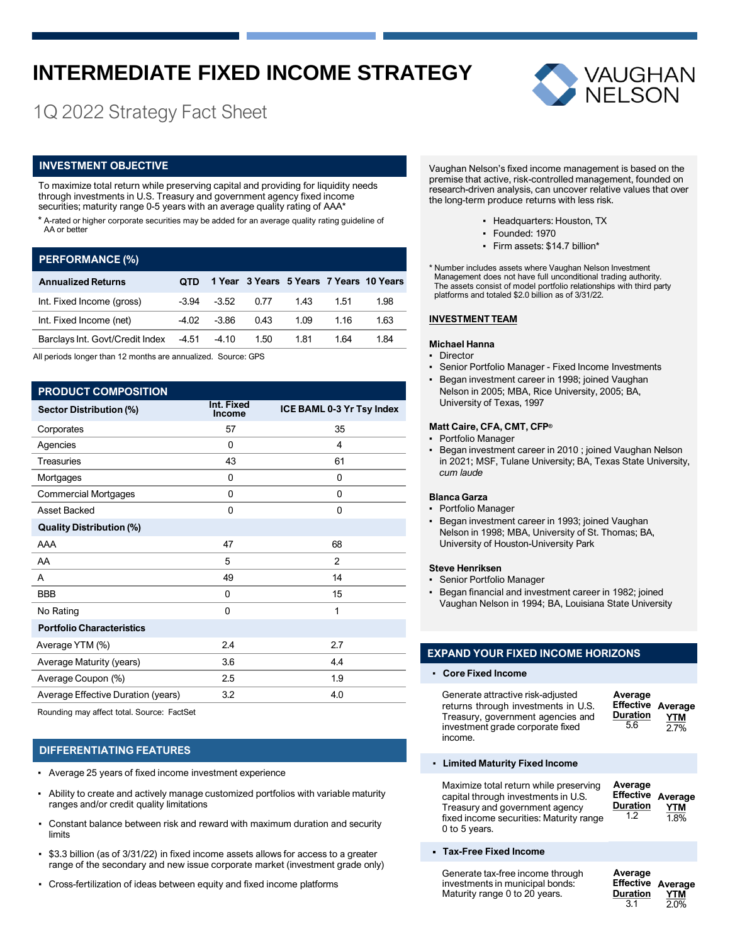## **INTERMEDIATE FIXED INCOME STRATEGY**

### 1Q 2022 Strategy Fact Sheet

### **INVESTMENT OBJECTIVE**

To maximize total return while preserving capital and providing for liquidity needs through investments in U.S. Treasury and government agency fixed income securities; maturity range 0-5 years with an average quality rating of AAA\*

\* A-rated or higher corporate securities may be added for an average quality rating guideline of AA or better

### **PERFORMANCE (%)**

| <b>Annualized Returns</b>                   | OTD.  |                 |      |      |      | 1 Year 3 Years 5 Years 7 Years 10 Years |
|---------------------------------------------|-------|-----------------|------|------|------|-----------------------------------------|
| Int. Fixed Income (gross)                   |       | $-3.94$ $-3.52$ | 0.77 | 1.43 | 1.51 | 1.98                                    |
| Int. Fixed Income (net)                     | -4.02 | -3.86           | 0.43 | 1.09 | 1.16 | 1.63                                    |
| Barclays Int. Govt/Credit Index -4.51 -4.10 |       |                 | 1.50 | 1.81 | 164  | 1.84                                    |

All periods longer than 12 months are annualized. Source: GPS

### **PRODUCT COMPOSITION**

| Sector Distribution (%)            | Int. Fixed<br>Income | ICE BAML 0-3 Yr Tsy Index |
|------------------------------------|----------------------|---------------------------|
| Corporates                         | 57                   | 35                        |
| Agencies                           | $\mathbf{0}$         | 4                         |
| <b>Treasuries</b>                  | 43                   | 61                        |
| Mortgages                          | 0                    | 0                         |
| <b>Commercial Mortgages</b>        | 0                    | 0                         |
| Asset Backed                       | 0                    | $\mathbf{0}$              |
| <b>Quality Distribution (%)</b>    |                      |                           |
| AAA                                | 47                   | 68                        |
| AA                                 | 5                    | $\overline{2}$            |
| A                                  | 49                   | 14                        |
| <b>BBB</b>                         | 0                    | 15                        |
| No Rating                          | 0                    | 1                         |
| <b>Portfolio Characteristics</b>   |                      |                           |
| Average YTM (%)                    | 2.4                  | 2.7                       |
| Average Maturity (years)           | 3.6                  | 4.4                       |
| Average Coupon (%)                 | 2.5                  | 1.9                       |
| Average Effective Duration (years) | 3.2                  | 4.0                       |
|                                    |                      |                           |

Rounding may affect total. Source: FactSet

### **DIFFERENTIATING FEATURES**

- Average 25 years of fixed income investment experience
- Ability to create and actively manage customized portfolios with variable maturity ranges and/or credit quality limitations
- Constant balance between risk and reward with maximum duration and security limits
- \$3.3 billion (as of 3/31/22) in fixed income assets allows for access to a greater range of the secondary and new issue corporate market (investment grade only)
- Cross-fertilization of ideas between equity and fixed income platforms



Vaughan Nelson's fixed income management is based on the premise that active, risk-controlled management, founded on research-driven analysis, can uncover relative values that over the long-term produce returns with less risk.

- Headquarters: Houston, TX
- Founded: 1970
- Firm assets: \$14.7 billion\*

\* Number includes assets where Vaughan Nelson Investment Management does not have full unconditional trading authority. The assets consist of model portfolio relationships with third party platforms and totaled \$2.0 billion as of 3/31/22.

### **INVESTMENT TEAM**

### **Michael Hanna**

- Director
- Senior Portfolio Manager Fixed Income Investments
- Began investment career in 1998; joined Vaughan Nelson in 2005; MBA, Rice University, 2005; BA, University of Texas, 1997

### **Matt Caire, CFA, CMT, CFP®**

- Portfolio Manager
- Began investment career in 2010 ; joined Vaughan Nelson in 2021; MSF, Tulane University; BA, Texas State University, *cum laude*

### **Blanca Garza**

- Portfolio Manager
- Began investment career in 1993; joined Vaughan Nelson in 1998; MBA, University of St. Thomas; BA, University of Houston-University Park

### **Steve Henriksen**

- Senior Portfolio Manager
- Began financial and investment career in 1982; joined Vaughan Nelson in 1994; BA, Louisiana State University

### **EXPAND YOUR FIXED INCOME HORIZONS**

▪ **Core Fixed Income**

income.

**Average Effective Duration** 5.6 **Average YTM** 2.7%

▪ **Limited Maturity Fixed Income**

Generate attractive risk-adjusted returns through investments in U.S. Treasury, government agencies and investment grade corporate fixed

| Maximize total return while preserving<br>capital through investments in U.S.<br>Treasury and government agency<br>fixed income securities: Maturity range<br>0 to 5 years. | Average<br><b>Effective</b><br><b>Duration</b><br>1.2 | Average<br><b>YTM</b><br>1.8% |
|-----------------------------------------------------------------------------------------------------------------------------------------------------------------------------|-------------------------------------------------------|-------------------------------|
|-----------------------------------------------------------------------------------------------------------------------------------------------------------------------------|-------------------------------------------------------|-------------------------------|

### **Tax-Free Fixed Income**

Generate tax-free income through investments in municipal bonds: Maturity range 0 to 20 years. **Average Effective Average Duration** 3.1 **YTM** 2.0%